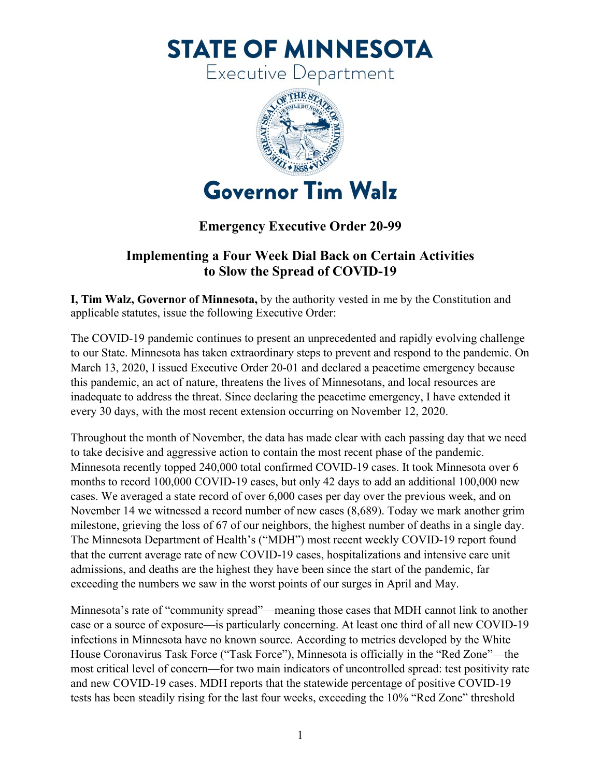**STATE OF MINNESOTA** 

**Executive Department** 



## **Emergency Executive Order 20-99**

## **Implementing a Four Week Dial Back on Certain Activities to Slow the Spread of COVID-19**

**I, Tim Walz, Governor of Minnesota,** by the authority vested in me by the Constitution and applicable statutes, issue the following Executive Order:

The COVID-19 pandemic continues to present an unprecedented and rapidly evolving challenge to our State. Minnesota has taken extraordinary steps to prevent and respond to the pandemic. On March 13, 2020, I issued Executive Order 20-01 and declared a peacetime emergency because this pandemic, an act of nature, threatens the lives of Minnesotans, and local resources are inadequate to address the threat. Since declaring the peacetime emergency, I have extended it every 30 days, with the most recent extension occurring on November 12, 2020.

Throughout the month of November, the data has made clear with each passing day that we need to take decisive and aggressive action to contain the most recent phase of the pandemic. Minnesota recently topped 240,000 total confirmed COVID-19 cases. It took Minnesota over 6 months to record 100,000 COVID-19 cases, but only 42 days to add an additional 100,000 new cases. We averaged a state record of over 6,000 cases per day over the previous week, and on November 14 we witnessed a record number of new cases (8,689). Today we mark another grim milestone, grieving the loss of 67 of our neighbors, the highest number of deaths in a single day. The Minnesota Department of Health's ("MDH") most recent weekly COVID-19 report found that the current average rate of new COVID-19 cases, hospitalizations and intensive care unit admissions, and deaths are the highest they have been since the start of the pandemic, far exceeding the numbers we saw in the worst points of our surges in April and May.

Minnesota's rate of "community spread"—meaning those cases that MDH cannot link to another case or a source of exposure—is particularly concerning. At least one third of all new COVID-19 infections in Minnesota have no known source. According to metrics developed by the White House Coronavirus Task Force ("Task Force"), Minnesota is officially in the "Red Zone"—the most critical level of concern—for two main indicators of uncontrolled spread: test positivity rate and new COVID-19 cases. MDH reports that the statewide percentage of positive COVID-19 tests has been steadily rising for the last four weeks, exceeding the 10% "Red Zone" threshold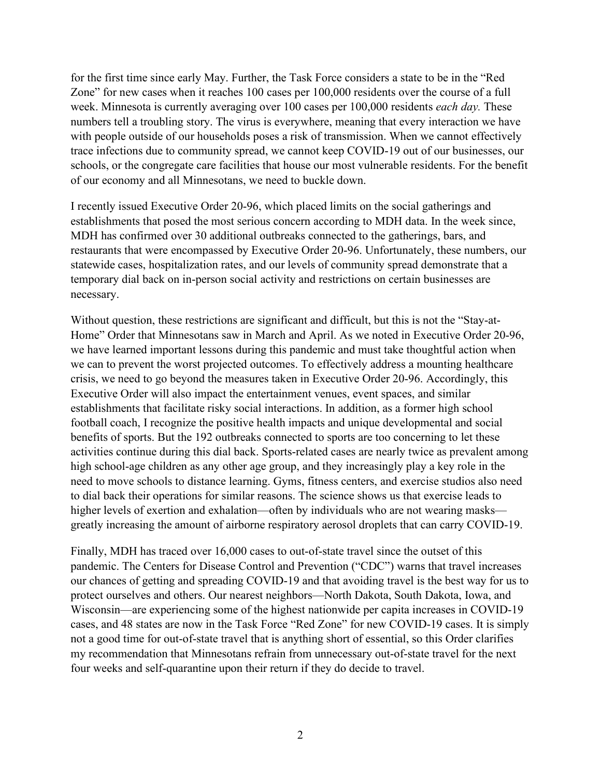for the first time since early May. Further, the Task Force considers a state to be in the "Red Zone" for new cases when it reaches 100 cases per 100,000 residents over the course of a full week. Minnesota is currently averaging over 100 cases per 100,000 residents *each day.* These numbers tell a troubling story. The virus is everywhere, meaning that every interaction we have with people outside of our households poses a risk of transmission. When we cannot effectively trace infections due to community spread, we cannot keep COVID-19 out of our businesses, our schools, or the congregate care facilities that house our most vulnerable residents. For the benefit of our economy and all Minnesotans, we need to buckle down.

I recently issued Executive Order 20-96, which placed limits on the social gatherings and establishments that posed the most serious concern according to MDH data. In the week since, MDH has confirmed over 30 additional outbreaks connected to the gatherings, bars, and restaurants that were encompassed by Executive Order 20-96. Unfortunately, these numbers, our statewide cases, hospitalization rates, and our levels of community spread demonstrate that a temporary dial back on in-person social activity and restrictions on certain businesses are necessary.

Without question, these restrictions are significant and difficult, but this is not the "Stay-at-Home" Order that Minnesotans saw in March and April. As we noted in Executive Order 20-96, we have learned important lessons during this pandemic and must take thoughtful action when we can to prevent the worst projected outcomes. To effectively address a mounting healthcare crisis, we need to go beyond the measures taken in Executive Order 20-96. Accordingly, this Executive Order will also impact the entertainment venues, event spaces, and similar establishments that facilitate risky social interactions. In addition, as a former high school football coach, I recognize the positive health impacts and unique developmental and social benefits of sports. But the 192 outbreaks connected to sports are too concerning to let these activities continue during this dial back. Sports-related cases are nearly twice as prevalent among high school-age children as any other age group, and they increasingly play a key role in the need to move schools to distance learning. Gyms, fitness centers, and exercise studios also need to dial back their operations for similar reasons. The science shows us that exercise leads to higher levels of exertion and exhalation—often by individuals who are not wearing masks greatly increasing the amount of airborne respiratory aerosol droplets that can carry COVID-19.

Finally, MDH has traced over 16,000 cases to out-of-state travel since the outset of this pandemic. The Centers for Disease Control and Prevention ("CDC") warns that travel increases our chances of getting and spreading COVID-19 and that avoiding travel is the best way for us to protect ourselves and others. Our nearest neighbors—North Dakota, South Dakota, Iowa, and Wisconsin—are experiencing some of the highest nationwide per capita increases in COVID-19 cases, and 48 states are now in the Task Force "Red Zone" for new COVID-19 cases. It is simply not a good time for out-of-state travel that is anything short of essential, so this Order clarifies my recommendation that Minnesotans refrain from unnecessary out-of-state travel for the next four weeks and self-quarantine upon their return if they do decide to travel.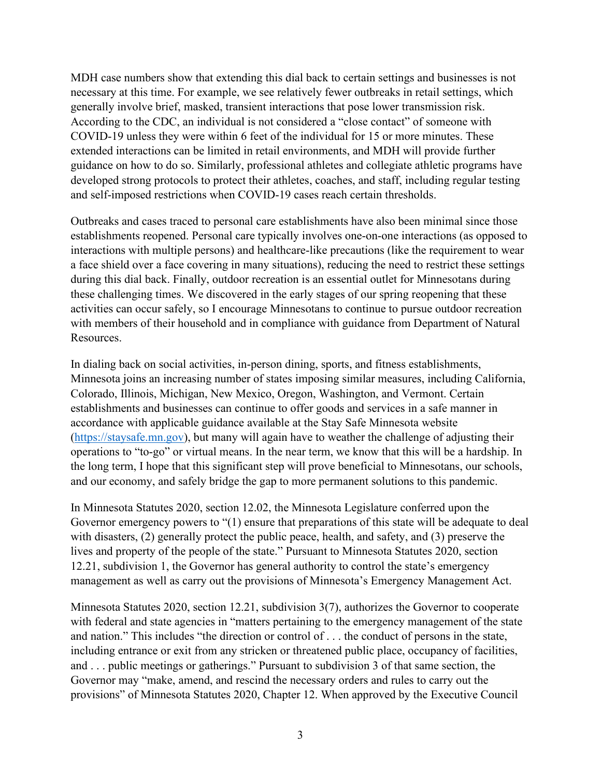MDH case numbers show that extending this dial back to certain settings and businesses is not necessary at this time. For example, we see relatively fewer outbreaks in retail settings, which generally involve brief, masked, transient interactions that pose lower transmission risk. According to the CDC, an individual is not considered a "close contact" of someone with COVID-19 unless they were within 6 feet of the individual for 15 or more minutes. These extended interactions can be limited in retail environments, and MDH will provide further guidance on how to do so. Similarly, professional athletes and collegiate athletic programs have developed strong protocols to protect their athletes, coaches, and staff, including regular testing and self-imposed restrictions when COVID-19 cases reach certain thresholds.

Outbreaks and cases traced to personal care establishments have also been minimal since those establishments reopened. Personal care typically involves one-on-one interactions (as opposed to interactions with multiple persons) and healthcare-like precautions (like the requirement to wear a face shield over a face covering in many situations), reducing the need to restrict these settings during this dial back. Finally, outdoor recreation is an essential outlet for Minnesotans during these challenging times. We discovered in the early stages of our spring reopening that these activities can occur safely, so I encourage Minnesotans to continue to pursue outdoor recreation with members of their household and in compliance with guidance from Department of Natural Resources.

In dialing back on social activities, in-person dining, sports, and fitness establishments, Minnesota joins an increasing number of states imposing similar measures, including California, Colorado, Illinois, Michigan, New Mexico, Oregon, Washington, and Vermont. Certain establishments and businesses can continue to offer goods and services in a safe manner in accordance with applicable guidance available at the Stay Safe Minnesota website [\(https://staysafe.mn.gov\)](https://staysafe.mn.gov/), but many will again have to weather the challenge of adjusting their operations to "to-go" or virtual means. In the near term, we know that this will be a hardship. In the long term, I hope that this significant step will prove beneficial to Minnesotans, our schools, and our economy, and safely bridge the gap to more permanent solutions to this pandemic.

In Minnesota Statutes 2020, section 12.02, the Minnesota Legislature conferred upon the Governor emergency powers to "(1) ensure that preparations of this state will be adequate to deal with disasters, (2) generally protect the public peace, health, and safety, and (3) preserve the lives and property of the people of the state." Pursuant to Minnesota Statutes 2020, section 12.21, subdivision 1, the Governor has general authority to control the state's emergency management as well as carry out the provisions of Minnesota's Emergency Management Act.

Minnesota Statutes 2020, section 12.21, subdivision 3(7), authorizes the Governor to cooperate with federal and state agencies in "matters pertaining to the emergency management of the state and nation." This includes "the direction or control of . . . the conduct of persons in the state, including entrance or exit from any stricken or threatened public place, occupancy of facilities, and . . . public meetings or gatherings." Pursuant to subdivision 3 of that same section, the Governor may "make, amend, and rescind the necessary orders and rules to carry out the provisions" of Minnesota Statutes 2020, Chapter 12. When approved by the Executive Council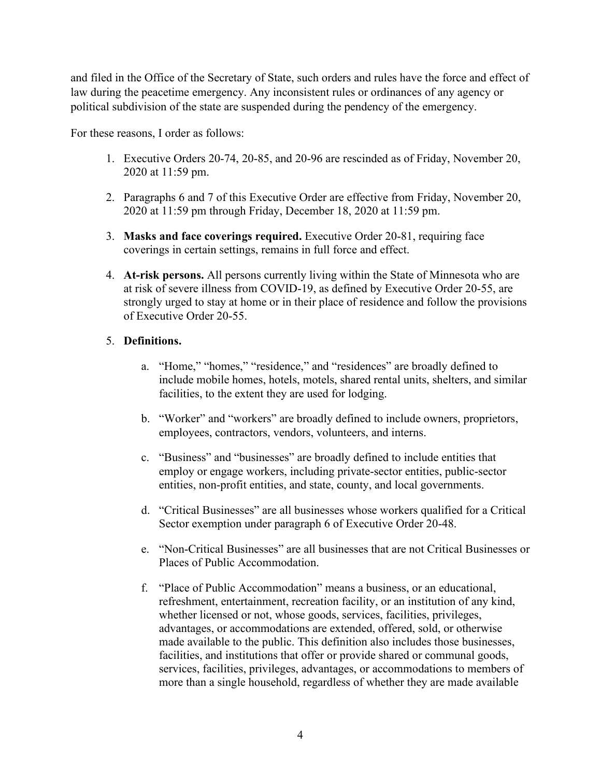and filed in the Office of the Secretary of State, such orders and rules have the force and effect of law during the peacetime emergency. Any inconsistent rules or ordinances of any agency or political subdivision of the state are suspended during the pendency of the emergency.

For these reasons, I order as follows:

- 1. Executive Orders 20-74, 20-85, and 20-96 are rescinded as of Friday, November 20, 2020 at 11:59 pm.
- 2. Paragraphs 6 and 7 of this Executive Order are effective from Friday, November 20, 2020 at 11:59 pm through Friday, December 18, 2020 at 11:59 pm.
- 3. **Masks and face coverings required.** Executive Order 20-81, requiring face coverings in certain settings, remains in full force and effect.
- 4. **At-risk persons.** All persons currently living within the State of Minnesota who are at risk of severe illness from COVID-19, as defined by Executive Order 20-55, are strongly urged to stay at home or in their place of residence and follow the provisions of Executive Order 20-55.

## 5. **Definitions.**

- a. "Home," "homes," "residence," and "residences" are broadly defined to include mobile homes, hotels, motels, shared rental units, shelters, and similar facilities, to the extent they are used for lodging.
- b. "Worker" and "workers" are broadly defined to include owners, proprietors, employees, contractors, vendors, volunteers, and interns.
- c. "Business" and "businesses" are broadly defined to include entities that employ or engage workers, including private-sector entities, public-sector entities, non-profit entities, and state, county, and local governments.
- d. "Critical Businesses" are all businesses whose workers qualified for a Critical Sector exemption under paragraph 6 of Executive Order 20-48.
- e. "Non-Critical Businesses" are all businesses that are not Critical Businesses or Places of Public Accommodation.
- f. "Place of Public Accommodation" means a business, or an educational, refreshment, entertainment, recreation facility, or an institution of any kind, whether licensed or not, whose goods, services, facilities, privileges, advantages, or accommodations are extended, offered, sold, or otherwise made available to the public. This definition also includes those businesses, facilities, and institutions that offer or provide shared or communal goods, services, facilities, privileges, advantages, or accommodations to members of more than a single household, regardless of whether they are made available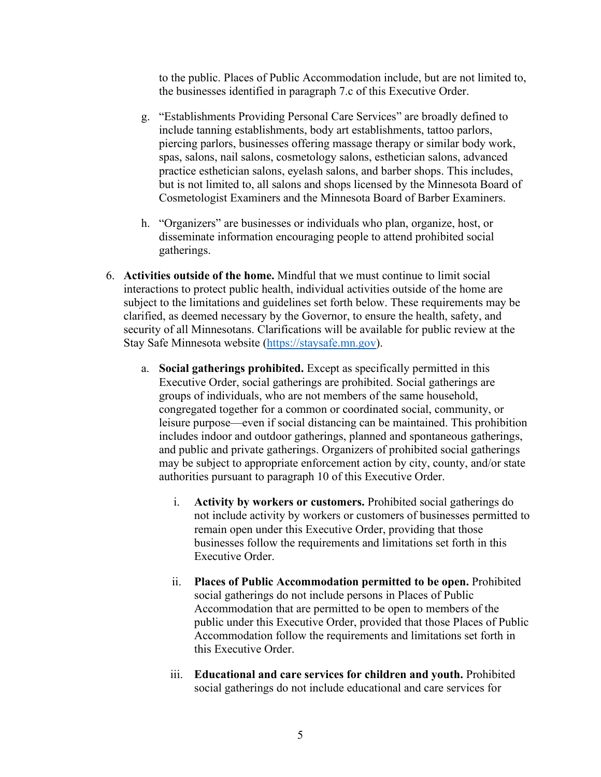to the public. Places of Public Accommodation include, but are not limited to, the businesses identified in paragraph 7.c of this Executive Order.

- g. "Establishments Providing Personal Care Services" are broadly defined to include tanning establishments, body art establishments, tattoo parlors, piercing parlors, businesses offering massage therapy or similar body work, spas, salons, nail salons, cosmetology salons, esthetician salons, advanced practice esthetician salons, eyelash salons, and barber shops. This includes, but is not limited to, all salons and shops licensed by the Minnesota Board of Cosmetologist Examiners and the Minnesota Board of Barber Examiners.
- h. "Organizers" are businesses or individuals who plan, organize, host, or disseminate information encouraging people to attend prohibited social gatherings.
- 6. **Activities outside of the home.** Mindful that we must continue to limit social interactions to protect public health, individual activities outside of the home are subject to the limitations and guidelines set forth below. These requirements may be clarified, as deemed necessary by the Governor, to ensure the health, safety, and security of all Minnesotans. Clarifications will be available for public review at the Stay Safe Minnesota website [\(https://staysafe.mn.gov\)](https://staysafe.mn.gov/).
	- a. **Social gatherings prohibited.** Except as specifically permitted in this Executive Order, social gatherings are prohibited. Social gatherings are groups of individuals, who are not members of the same household, congregated together for a common or coordinated social, community, or leisure purpose—even if social distancing can be maintained. This prohibition includes indoor and outdoor gatherings, planned and spontaneous gatherings, and public and private gatherings. Organizers of prohibited social gatherings may be subject to appropriate enforcement action by city, county, and/or state authorities pursuant to paragraph 10 of this Executive Order.
		- i. **Activity by workers or customers.** Prohibited social gatherings do not include activity by workers or customers of businesses permitted to remain open under this Executive Order, providing that those businesses follow the requirements and limitations set forth in this Executive Order.
		- ii. **Places of Public Accommodation permitted to be open.** Prohibited social gatherings do not include persons in Places of Public Accommodation that are permitted to be open to members of the public under this Executive Order, provided that those Places of Public Accommodation follow the requirements and limitations set forth in this Executive Order.
		- iii. **Educational and care services for children and youth.** Prohibited social gatherings do not include educational and care services for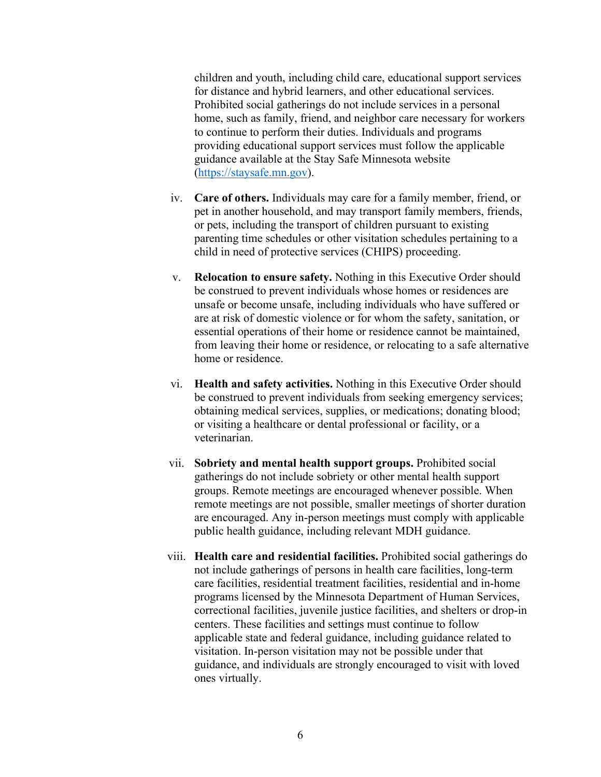children and youth, including child care, educational support services for distance and hybrid learners, and other educational services. Prohibited social gatherings do not include services in a personal home, such as family, friend, and neighbor care necessary for workers to continue to perform their duties. Individuals and programs providing educational support services must follow the applicable guidance available at the Stay Safe Minnesota website [\(https://staysafe.mn.gov\)](https://staysafe.mn.gov/).

- iv. **Care of others.** Individuals may care for a family member, friend, or pet in another household, and may transport family members, friends, or pets, including the transport of children pursuant to existing parenting time schedules or other visitation schedules pertaining to a child in need of protective services (CHIPS) proceeding.
- v. **Relocation to ensure safety.** Nothing in this Executive Order should be construed to prevent individuals whose homes or residences are unsafe or become unsafe, including individuals who have suffered or are at risk of domestic violence or for whom the safety, sanitation, or essential operations of their home or residence cannot be maintained, from leaving their home or residence, or relocating to a safe alternative home or residence.
- vi. **Health and safety activities.** Nothing in this Executive Order should be construed to prevent individuals from seeking emergency services; obtaining medical services, supplies, or medications; donating blood; or visiting a healthcare or dental professional or facility, or a veterinarian.
- vii. **Sobriety and mental health support groups.** Prohibited social gatherings do not include sobriety or other mental health support groups. Remote meetings are encouraged whenever possible. When remote meetings are not possible, smaller meetings of shorter duration are encouraged. Any in-person meetings must comply with applicable public health guidance, including relevant MDH guidance.
- viii. **Health care and residential facilities.** Prohibited social gatherings do not include gatherings of persons in health care facilities, long-term care facilities, residential treatment facilities, residential and in-home programs licensed by the Minnesota Department of Human Services, correctional facilities, juvenile justice facilities, and shelters or drop-in centers. These facilities and settings must continue to follow applicable state and federal guidance, including guidance related to visitation. In-person visitation may not be possible under that guidance, and individuals are strongly encouraged to visit with loved ones virtually.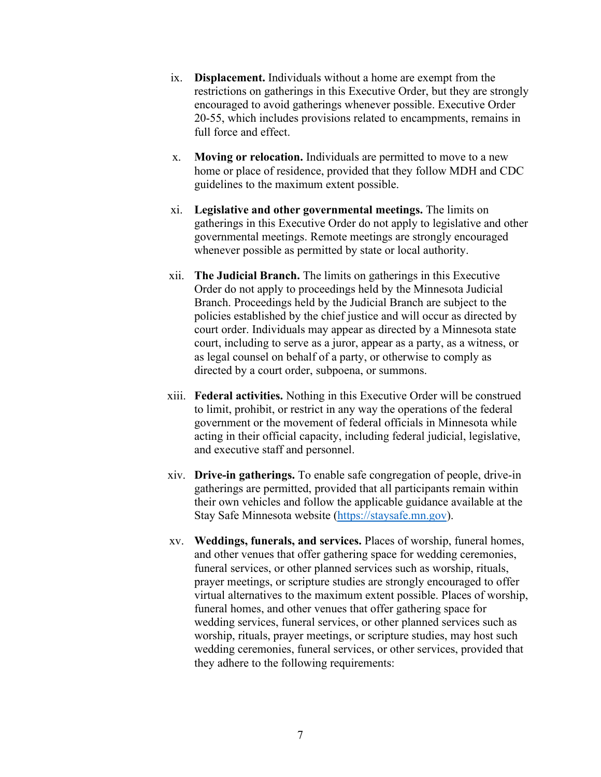- ix. **Displacement.** Individuals without a home are exempt from the restrictions on gatherings in this Executive Order, but they are strongly encouraged to avoid gatherings whenever possible. Executive Order 20-55, which includes provisions related to encampments, remains in full force and effect.
- x. **Moving or relocation.** Individuals are permitted to move to a new home or place of residence, provided that they follow MDH and CDC guidelines to the maximum extent possible.
- xi. **Legislative and other governmental meetings.** The limits on gatherings in this Executive Order do not apply to legislative and other governmental meetings. Remote meetings are strongly encouraged whenever possible as permitted by state or local authority.
- xii. **The Judicial Branch.** The limits on gatherings in this Executive Order do not apply to proceedings held by the Minnesota Judicial Branch. Proceedings held by the Judicial Branch are subject to the policies established by the chief justice and will occur as directed by court order. Individuals may appear as directed by a Minnesota state court, including to serve as a juror, appear as a party, as a witness, or as legal counsel on behalf of a party, or otherwise to comply as directed by a court order, subpoena, or summons.
- xiii. **Federal activities.** Nothing in this Executive Order will be construed to limit, prohibit, or restrict in any way the operations of the federal government or the movement of federal officials in Minnesota while acting in their official capacity, including federal judicial, legislative, and executive staff and personnel.
- xiv. **Drive-in gatherings.** To enable safe congregation of people, drive-in gatherings are permitted, provided that all participants remain within their own vehicles and follow the applicable guidance available at the Stay Safe Minnesota website [\(https://staysafe.mn.gov\)](https://staysafe.mn.gov/).
- xv. **Weddings, funerals, and services.** Places of worship, funeral homes, and other venues that offer gathering space for wedding ceremonies, funeral services, or other planned services such as worship, rituals, prayer meetings, or scripture studies are strongly encouraged to offer virtual alternatives to the maximum extent possible. Places of worship, funeral homes, and other venues that offer gathering space for wedding services, funeral services, or other planned services such as worship, rituals, prayer meetings, or scripture studies, may host such wedding ceremonies, funeral services, or other services, provided that they adhere to the following requirements: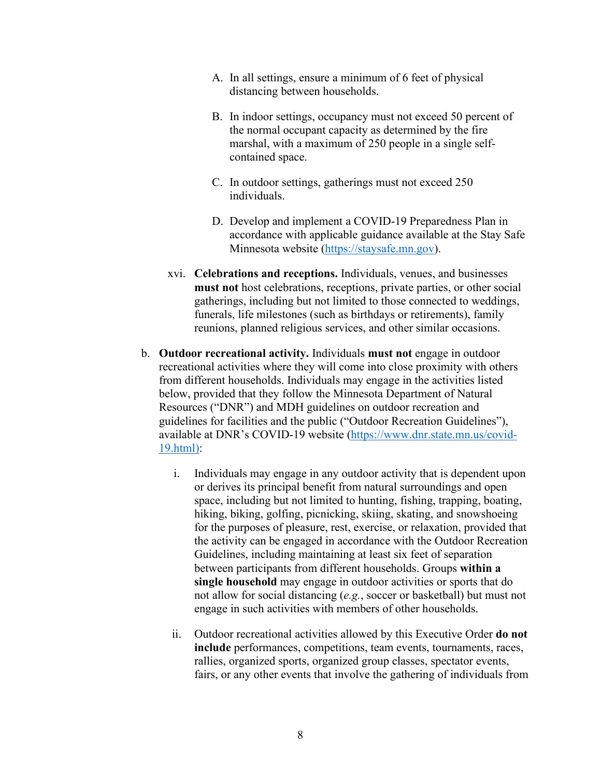- A. In all settings, ensure a minimum of 6 feet of physical distancing between households.
- B. In indoor settings, occupancy must not exceed 50 percent of the normal occupant capacity as determined by the fire marshal, with a maximum of 250 people in a single selfcontained space.
- C. In outdoor settings, gatherings must not exceed 250 individuals.
- D. Develop and implement a COVID-19 Preparedness Plan in accordance with applicable guidance available at the Stay Safe Minnesota website [\(https://staysafe.mn.gov\)](https://staysafe.mn.gov/).
- xvi. **Celebrations and receptions.** Individuals, venues, and businesses **must not** host celebrations, receptions, private parties, or other social gatherings, including but not limited to those connected to weddings, funerals, life milestones (such as birthdays or retirements), family reunions, planned religious services, and other similar occasions.
- b. **Outdoor recreational activity.** Individuals **must not** engage in outdoor recreational activities where they will come into close proximity with others from different households. Individuals may engage in the activities listed below, provided that they follow the Minnesota Department of Natural Resources ("DNR") and MDH guidelines on outdoor recreation and guidelines for facilities and the public ("Outdoor Recreation Guidelines"), available at DNR's COVID-19 website [\(https://www.dnr.state.mn.us/covid-](https://www.dnr.state.mn.us/covid-19.html)[19.html\)](https://www.dnr.state.mn.us/covid-19.html):
	- i. Individuals may engage in any outdoor activity that is dependent upon or derives its principal benefit from natural surroundings and open space, including but not limited to hunting, fishing, trapping, boating, hiking, biking, golfing, picnicking, skiing, skating, and snowshoeing for the purposes of pleasure, rest, exercise, or relaxation, provided that the activity can be engaged in accordance with the Outdoor Recreation Guidelines, including maintaining at least six feet of separation between participants from different households. Groups **within a single household** may engage in outdoor activities or sports that do not allow for social distancing (*e.g.*, soccer or basketball) but must not engage in such activities with members of other households.
	- ii. Outdoor recreational activities allowed by this Executive Order **do not include** performances, competitions, team events, tournaments, races, rallies, organized sports, organized group classes, spectator events, fairs, or any other events that involve the gathering of individuals from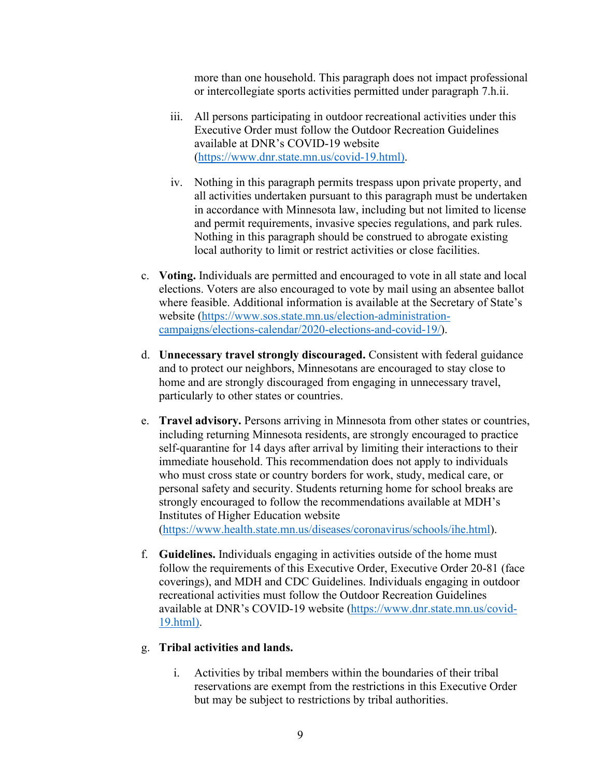more than one household. This paragraph does not impact professional or intercollegiate sports activities permitted under paragraph 7.h.ii.

- iii. All persons participating in outdoor recreational activities under this Executive Order must follow the Outdoor Recreation Guidelines available at DNR's COVID-19 website [\(https://www.dnr.state.mn.us/covid-19.html\)](https://www.dnr.state.mn.us/covid-19.html).
- iv. Nothing in this paragraph permits trespass upon private property, and all activities undertaken pursuant to this paragraph must be undertaken in accordance with Minnesota law, including but not limited to license and permit requirements, invasive species regulations, and park rules. Nothing in this paragraph should be construed to abrogate existing local authority to limit or restrict activities or close facilities.
- c. **Voting.** Individuals are permitted and encouraged to vote in all state and local elections. Voters are also encouraged to vote by mail using an absentee ballot where feasible. Additional information is available at the Secretary of State's website [\(https://www.sos.state.mn.us/election-administration](https://www.sos.state.mn.us/election-administration-campaigns/elections-calendar/2020-elections-and-covid-19/)[campaigns/elections-calendar/2020-elections-and-covid-19/\)](https://www.sos.state.mn.us/election-administration-campaigns/elections-calendar/2020-elections-and-covid-19/).
- d. **Unnecessary travel strongly discouraged.** Consistent with federal guidance and to protect our neighbors, Minnesotans are encouraged to stay close to home and are strongly discouraged from engaging in unnecessary travel, particularly to other states or countries.
- e. **Travel advisory.** Persons arriving in Minnesota from other states or countries, including returning Minnesota residents, are strongly encouraged to practice self-quarantine for 14 days after arrival by limiting their interactions to their immediate household. This recommendation does not apply to individuals who must cross state or country borders for work, study, medical care, or personal safety and security. Students returning home for school breaks are strongly encouraged to follow the recommendations available at MDH's Institutes of Higher Education website [\(https://www.health.state.mn.us/diseases/coronavirus/schools/ihe.html\)](https://www.health.state.mn.us/diseases/coronavirus/schools/ihe.html).
- f. **Guidelines.** Individuals engaging in activities outside of the home must follow the requirements of this Executive Order, Executive Order 20-81 (face coverings), and MDH and CDC Guidelines. Individuals engaging in outdoor recreational activities must follow the Outdoor Recreation Guidelines available at DNR's COVID-19 website [\(https://www.dnr.state.mn.us/covid-](https://www.dnr.state.mn.us/covid-19.html)[19.html\)](https://www.dnr.state.mn.us/covid-19.html).

## g. **Tribal activities and lands.**

i. Activities by tribal members within the boundaries of their tribal reservations are exempt from the restrictions in this Executive Order but may be subject to restrictions by tribal authorities.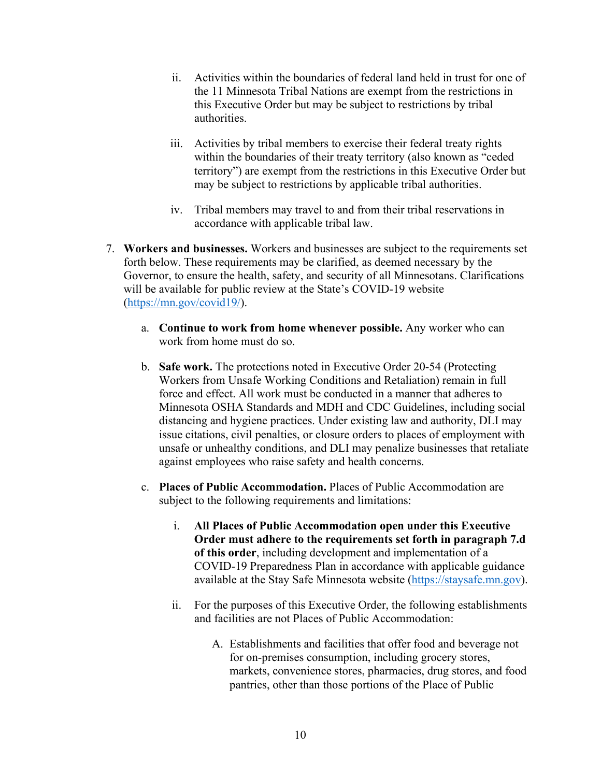- ii. Activities within the boundaries of federal land held in trust for one of the 11 Minnesota Tribal Nations are exempt from the restrictions in this Executive Order but may be subject to restrictions by tribal authorities.
- iii. Activities by tribal members to exercise their federal treaty rights within the boundaries of their treaty territory (also known as "ceded territory") are exempt from the restrictions in this Executive Order but may be subject to restrictions by applicable tribal authorities.
- iv. Tribal members may travel to and from their tribal reservations in accordance with applicable tribal law.
- 7. **Workers and businesses.** Workers and businesses are subject to the requirements set forth below. These requirements may be clarified, as deemed necessary by the Governor, to ensure the health, safety, and security of all Minnesotans. Clarifications will be available for public review at the State's COVID-19 website [\(https://mn.gov/covid19/\)](https://mn.gov/covid19/).
	- a. **Continue to work from home whenever possible.** Any worker who can work from home must do so.
	- b. **Safe work.** The protections noted in Executive Order 20-54 (Protecting Workers from Unsafe Working Conditions and Retaliation) remain in full force and effect. All work must be conducted in a manner that adheres to Minnesota OSHA Standards and MDH and CDC Guidelines, including social distancing and hygiene practices. Under existing law and authority, DLI may issue citations, civil penalties, or closure orders to places of employment with unsafe or unhealthy conditions, and DLI may penalize businesses that retaliate against employees who raise safety and health concerns.
	- c. **Places of Public Accommodation.** Places of Public Accommodation are subject to the following requirements and limitations:
		- i. **All Places of Public Accommodation open under this Executive Order must adhere to the requirements set forth in paragraph 7.d of this order**, including development and implementation of a COVID-19 Preparedness Plan in accordance with applicable guidance available at the Stay Safe Minnesota website [\(https://staysafe.mn.gov\)](https://staysafe.mn.gov/).
		- ii. For the purposes of this Executive Order, the following establishments and facilities are not Places of Public Accommodation:
			- A. Establishments and facilities that offer food and beverage not for on-premises consumption, including grocery stores, markets, convenience stores, pharmacies, drug stores, and food pantries, other than those portions of the Place of Public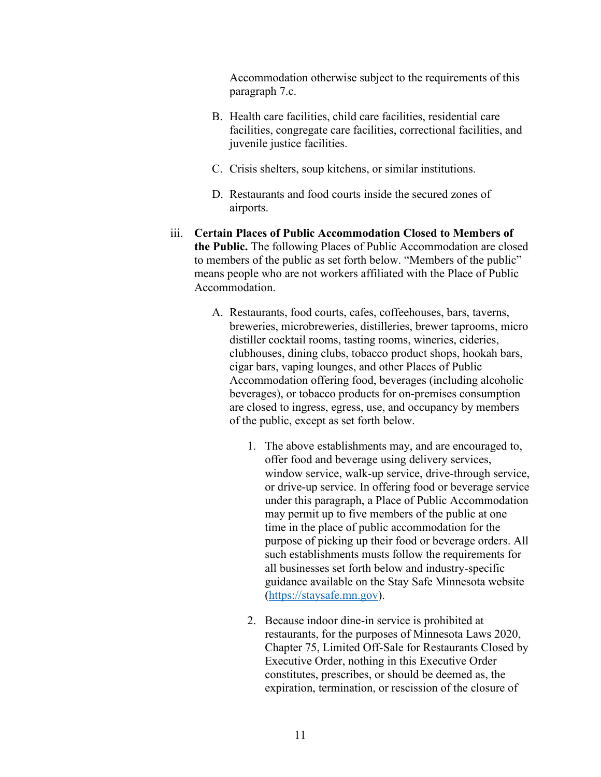Accommodation otherwise subject to the requirements of this paragraph 7.c.

- B. Health care facilities, child care facilities, residential care facilities, congregate care facilities, correctional facilities, and juvenile justice facilities.
- C. Crisis shelters, soup kitchens, or similar institutions.
- D. Restaurants and food courts inside the secured zones of airports.
- iii. **Certain Places of Public Accommodation Closed to Members of the Public.** The following Places of Public Accommodation are closed to members of the public as set forth below. "Members of the public" means people who are not workers affiliated with the Place of Public Accommodation.
	- A. Restaurants, food courts, cafes, coffeehouses, bars, taverns, breweries, microbreweries, distilleries, brewer taprooms, micro distiller cocktail rooms, tasting rooms, wineries, cideries, clubhouses, dining clubs, tobacco product shops, hookah bars, cigar bars, vaping lounges, and other Places of Public Accommodation offering food, beverages (including alcoholic beverages), or tobacco products for on-premises consumption are closed to ingress, egress, use, and occupancy by members of the public, except as set forth below.
		- 1. The above establishments may, and are encouraged to, offer food and beverage using delivery services, window service, walk-up service, drive-through service, or drive-up service. In offering food or beverage service under this paragraph, a Place of Public Accommodation may permit up to five members of the public at one time in the place of public accommodation for the purpose of picking up their food or beverage orders. All such establishments musts follow the requirements for all businesses set forth below and industry-specific guidance available on the Stay Safe Minnesota website [\(https://staysafe.mn.gov\)](https://staysafe.mn.gov/).
		- 2. Because indoor dine-in service is prohibited at restaurants, for the purposes of Minnesota Laws 2020, Chapter 75, Limited Off-Sale for Restaurants Closed by Executive Order, nothing in this Executive Order constitutes, prescribes, or should be deemed as, the expiration, termination, or rescission of the closure of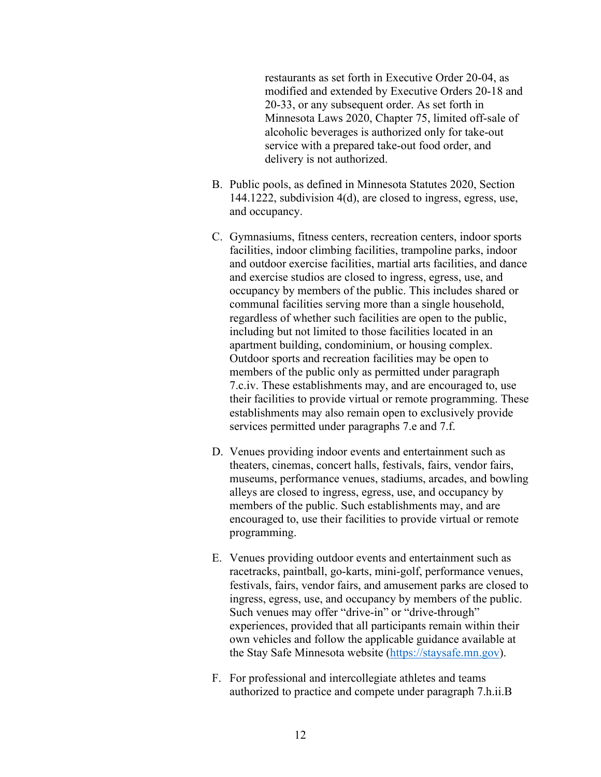restaurants as set forth in Executive Order 20-04, as modified and extended by Executive Orders 20-18 and 20-33, or any subsequent order. As set forth in Minnesota Laws 2020, Chapter 75, limited off-sale of alcoholic beverages is authorized only for take-out service with a prepared take-out food order, and delivery is not authorized.

- B. Public pools, as defined in Minnesota Statutes 2020, Section 144.1222, subdivision 4(d), are closed to ingress, egress, use, and occupancy.
- C. Gymnasiums, fitness centers, recreation centers, indoor sports facilities, indoor climbing facilities, trampoline parks, indoor and outdoor exercise facilities, martial arts facilities, and dance and exercise studios are closed to ingress, egress, use, and occupancy by members of the public. This includes shared or communal facilities serving more than a single household, regardless of whether such facilities are open to the public, including but not limited to those facilities located in an apartment building, condominium, or housing complex. Outdoor sports and recreation facilities may be open to members of the public only as permitted under paragraph 7.c.iv. These establishments may, and are encouraged to, use their facilities to provide virtual or remote programming. These establishments may also remain open to exclusively provide services permitted under paragraphs 7.e and 7.f.
- D. Venues providing indoor events and entertainment such as theaters, cinemas, concert halls, festivals, fairs, vendor fairs, museums, performance venues, stadiums, arcades, and bowling alleys are closed to ingress, egress, use, and occupancy by members of the public. Such establishments may, and are encouraged to, use their facilities to provide virtual or remote programming.
- E. Venues providing outdoor events and entertainment such as racetracks, paintball, go-karts, mini-golf, performance venues, festivals, fairs, vendor fairs, and amusement parks are closed to ingress, egress, use, and occupancy by members of the public. Such venues may offer "drive-in" or "drive-through" experiences, provided that all participants remain within their own vehicles and follow the applicable guidance available at the Stay Safe Minnesota website [\(https://staysafe.mn.gov\)](https://staysafe.mn.gov/).
- F. For professional and intercollegiate athletes and teams authorized to practice and compete under paragraph 7.h.ii.B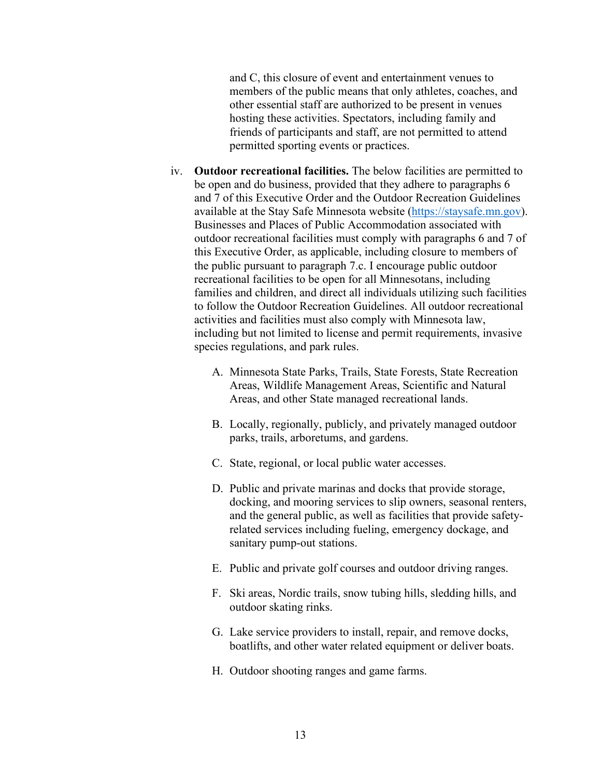and C, this closure of event and entertainment venues to members of the public means that only athletes, coaches, and other essential staff are authorized to be present in venues hosting these activities. Spectators, including family and friends of participants and staff, are not permitted to attend permitted sporting events or practices.

- iv. **Outdoor recreational facilities.** The below facilities are permitted to be open and do business, provided that they adhere to paragraphs 6 and 7 of this Executive Order and the Outdoor Recreation Guidelines available at the Stay Safe Minnesota website [\(https://staysafe.mn.gov\)](https://staysafe.mn.gov/). Businesses and Places of Public Accommodation associated with outdoor recreational facilities must comply with paragraphs 6 and 7 of this Executive Order, as applicable, including closure to members of the public pursuant to paragraph 7.c. I encourage public outdoor recreational facilities to be open for all Minnesotans, including families and children, and direct all individuals utilizing such facilities to follow the Outdoor Recreation Guidelines. All outdoor recreational activities and facilities must also comply with Minnesota law, including but not limited to license and permit requirements, invasive species regulations, and park rules.
	- A. Minnesota State Parks, Trails, State Forests, State Recreation Areas, Wildlife Management Areas, Scientific and Natural Areas, and other State managed recreational lands.
	- B. Locally, regionally, publicly, and privately managed outdoor parks, trails, arboretums, and gardens.
	- C. State, regional, or local public water accesses.
	- D. Public and private marinas and docks that provide storage, docking, and mooring services to slip owners, seasonal renters, and the general public, as well as facilities that provide safetyrelated services including fueling, emergency dockage, and sanitary pump-out stations.
	- E. Public and private golf courses and outdoor driving ranges.
	- F. Ski areas, Nordic trails, snow tubing hills, sledding hills, and outdoor skating rinks.
	- G. Lake service providers to install, repair, and remove docks, boatlifts, and other water related equipment or deliver boats.
	- H. Outdoor shooting ranges and game farms.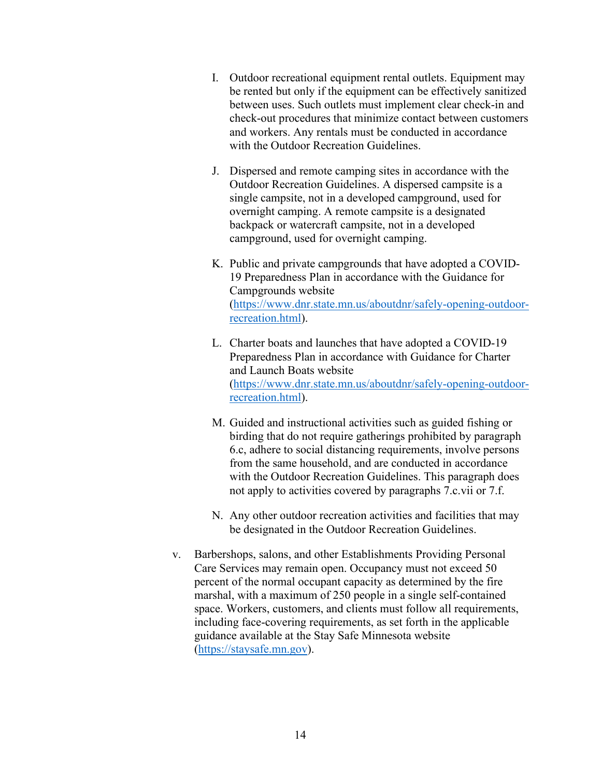- I. Outdoor recreational equipment rental outlets. Equipment may be rented but only if the equipment can be effectively sanitized between uses. Such outlets must implement clear check-in and check-out procedures that minimize contact between customers and workers. Any rentals must be conducted in accordance with the Outdoor Recreation Guidelines.
- J. Dispersed and remote camping sites in accordance with the Outdoor Recreation Guidelines. A dispersed campsite is a single campsite, not in a developed campground, used for overnight camping. A remote campsite is a designated backpack or watercraft campsite, not in a developed campground, used for overnight camping.
- K. Public and private campgrounds that have adopted a COVID-19 Preparedness Plan in accordance with the Guidance for Campgrounds website [\(https://www.dnr.state.mn.us/aboutdnr/safely-opening-outdoor](https://www.dnr.state.mn.us/aboutdnr/safely-opening-outdoor-recreation.html)[recreation.html\)](https://www.dnr.state.mn.us/aboutdnr/safely-opening-outdoor-recreation.html).
- L. Charter boats and launches that have adopted a COVID-19 Preparedness Plan in accordance with Guidance for Charter and Launch Boats website [\(https://www.dnr.state.mn.us/aboutdnr/safely-opening-outdoor](https://www.dnr.state.mn.us/aboutdnr/safely-opening-outdoor-recreation.html)[recreation.html\)](https://www.dnr.state.mn.us/aboutdnr/safely-opening-outdoor-recreation.html).
- M. Guided and instructional activities such as guided fishing or birding that do not require gatherings prohibited by paragraph 6.c, adhere to social distancing requirements, involve persons from the same household, and are conducted in accordance with the Outdoor Recreation Guidelines. This paragraph does not apply to activities covered by paragraphs 7.c.vii or 7.f.
- N. Any other outdoor recreation activities and facilities that may be designated in the Outdoor Recreation Guidelines.
- v. Barbershops, salons, and other Establishments Providing Personal Care Services may remain open. Occupancy must not exceed 50 percent of the normal occupant capacity as determined by the fire marshal, with a maximum of 250 people in a single self-contained space. Workers, customers, and clients must follow all requirements, including face-covering requirements, as set forth in the applicable guidance available at the Stay Safe Minnesota website [\(https://staysafe.mn.gov\)](https://staysafe.mn.gov/).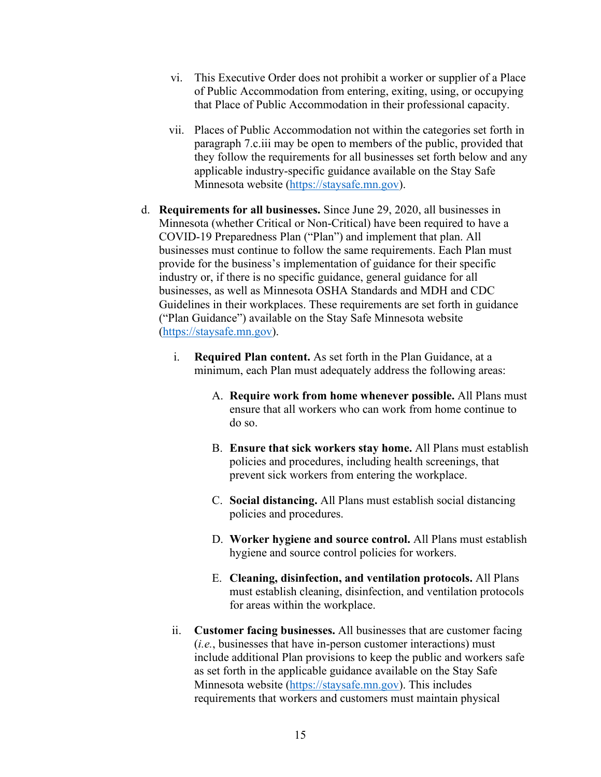- vi. This Executive Order does not prohibit a worker or supplier of a Place of Public Accommodation from entering, exiting, using, or occupying that Place of Public Accommodation in their professional capacity.
- vii. Places of Public Accommodation not within the categories set forth in paragraph 7.c.iii may be open to members of the public, provided that they follow the requirements for all businesses set forth below and any applicable industry-specific guidance available on the Stay Safe Minnesota website [\(https://staysafe.mn.gov\)](https://staysafe.mn.gov/).
- d. **Requirements for all businesses.** Since June 29, 2020, all businesses in Minnesota (whether Critical or Non-Critical) have been required to have a COVID-19 Preparedness Plan ("Plan") and implement that plan. All businesses must continue to follow the same requirements. Each Plan must provide for the business's implementation of guidance for their specific industry or, if there is no specific guidance, general guidance for all businesses, as well as Minnesota OSHA Standards and MDH and CDC Guidelines in their workplaces. These requirements are set forth in guidance ("Plan Guidance") available on the Stay Safe Minnesota website [\(https://staysafe.mn.gov\)](https://staysafe.mn.gov/).
	- i. **Required Plan content.** As set forth in the Plan Guidance, at a minimum, each Plan must adequately address the following areas:
		- A. **Require work from home whenever possible.** All Plans must ensure that all workers who can work from home continue to do so.
		- B. **Ensure that sick workers stay home.** All Plans must establish policies and procedures, including health screenings, that prevent sick workers from entering the workplace.
		- C. **Social distancing.** All Plans must establish social distancing policies and procedures.
		- D. **Worker hygiene and source control.** All Plans must establish hygiene and source control policies for workers.
		- E. **Cleaning, disinfection, and ventilation protocols.** All Plans must establish cleaning, disinfection, and ventilation protocols for areas within the workplace.
	- ii. **Customer facing businesses.** All businesses that are customer facing (*i.e.*, businesses that have in-person customer interactions) must include additional Plan provisions to keep the public and workers safe as set forth in the applicable guidance available on the Stay Safe Minnesota website [\(https://staysafe.mn.gov\)](https://staysafe.mn.gov/). This includes requirements that workers and customers must maintain physical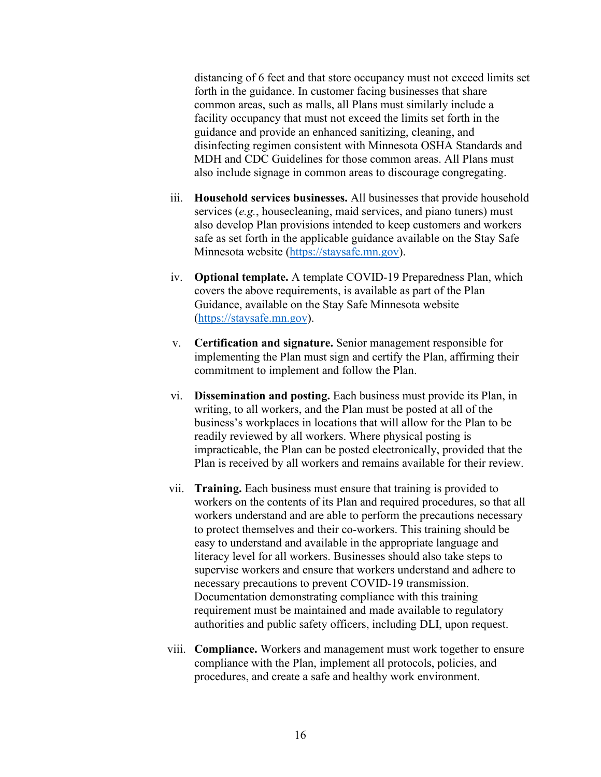distancing of 6 feet and that store occupancy must not exceed limits set forth in the guidance. In customer facing businesses that share common areas, such as malls, all Plans must similarly include a facility occupancy that must not exceed the limits set forth in the guidance and provide an enhanced sanitizing, cleaning, and disinfecting regimen consistent with Minnesota OSHA Standards and MDH and CDC Guidelines for those common areas. All Plans must also include signage in common areas to discourage congregating.

- iii. **Household services businesses.** All businesses that provide household services (*e.g.*, housecleaning, maid services, and piano tuners) must also develop Plan provisions intended to keep customers and workers safe as set forth in the applicable guidance available on the Stay Safe Minnesota website [\(https://staysafe.mn.gov\)](https://staysafe.mn.gov/).
- iv. **Optional template.** A template COVID-19 Preparedness Plan, which covers the above requirements, is available as part of the Plan Guidance, available on the Stay Safe Minnesota website [\(https://staysafe.mn.gov\)](https://staysafe.mn.gov/).
- v. **Certification and signature.** Senior management responsible for implementing the Plan must sign and certify the Plan, affirming their commitment to implement and follow the Plan.
- vi. **Dissemination and posting.** Each business must provide its Plan, in writing, to all workers, and the Plan must be posted at all of the business's workplaces in locations that will allow for the Plan to be readily reviewed by all workers. Where physical posting is impracticable, the Plan can be posted electronically, provided that the Plan is received by all workers and remains available for their review.
- vii. **Training.** Each business must ensure that training is provided to workers on the contents of its Plan and required procedures, so that all workers understand and are able to perform the precautions necessary to protect themselves and their co-workers. This training should be easy to understand and available in the appropriate language and literacy level for all workers. Businesses should also take steps to supervise workers and ensure that workers understand and adhere to necessary precautions to prevent COVID-19 transmission. Documentation demonstrating compliance with this training requirement must be maintained and made available to regulatory authorities and public safety officers, including DLI, upon request.
- viii. **Compliance.** Workers and management must work together to ensure compliance with the Plan, implement all protocols, policies, and procedures, and create a safe and healthy work environment.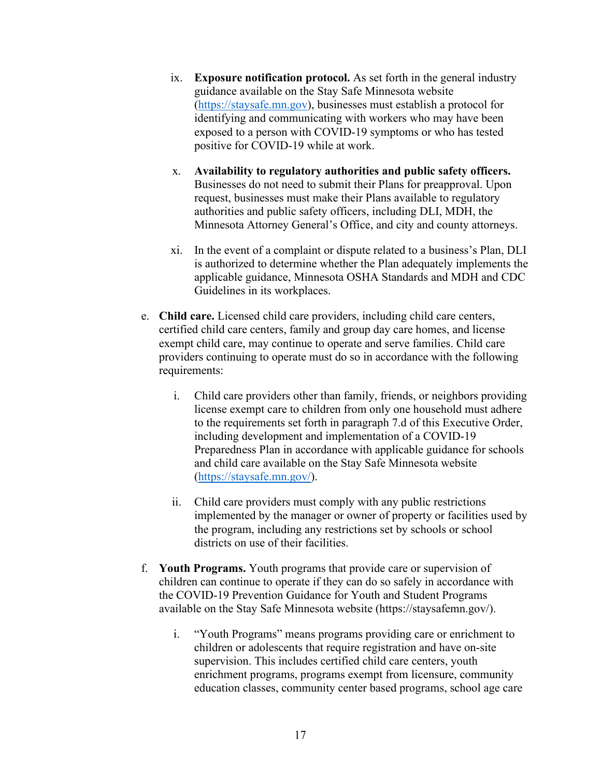- ix. **Exposure notification protocol.** As set forth in the general industry guidance available on the Stay Safe Minnesota website [\(https://staysafe.mn.gov\)](https://staysafe.mn.gov/), businesses must establish a protocol for identifying and communicating with workers who may have been exposed to a person with COVID-19 symptoms or who has tested positive for COVID-19 while at work.
- x. **Availability to regulatory authorities and public safety officers.**  Businesses do not need to submit their Plans for preapproval. Upon request, businesses must make their Plans available to regulatory authorities and public safety officers, including DLI, MDH, the Minnesota Attorney General's Office, and city and county attorneys.
- xi. In the event of a complaint or dispute related to a business's Plan, DLI is authorized to determine whether the Plan adequately implements the applicable guidance, Minnesota OSHA Standards and MDH and CDC Guidelines in its workplaces.
- e. **Child care.** Licensed child care providers, including child care centers, certified child care centers, family and group day care homes, and license exempt child care, may continue to operate and serve families. Child care providers continuing to operate must do so in accordance with the following requirements:
	- i. Child care providers other than family, friends, or neighbors providing license exempt care to children from only one household must adhere to the requirements set forth in paragraph 7.d of this Executive Order, including development and implementation of a COVID-19 Preparedness Plan in accordance with applicable guidance for schools and child care available on the Stay Safe Minnesota website [\(https://staysafe.mn.gov/\)](https://staysafe.mn.gov/).
	- ii. Child care providers must comply with any public restrictions implemented by the manager or owner of property or facilities used by the program, including any restrictions set by schools or school districts on use of their facilities.
- f. **Youth Programs.** Youth programs that provide care or supervision of children can continue to operate if they can do so safely in accordance with the COVID-19 Prevention Guidance for Youth and Student Programs available on the Stay Safe Minnesota website (https://staysafemn.gov/).
	- i. "Youth Programs" means programs providing care or enrichment to children or adolescents that require registration and have on-site supervision. This includes certified child care centers, youth enrichment programs, programs exempt from licensure, community education classes, community center based programs, school age care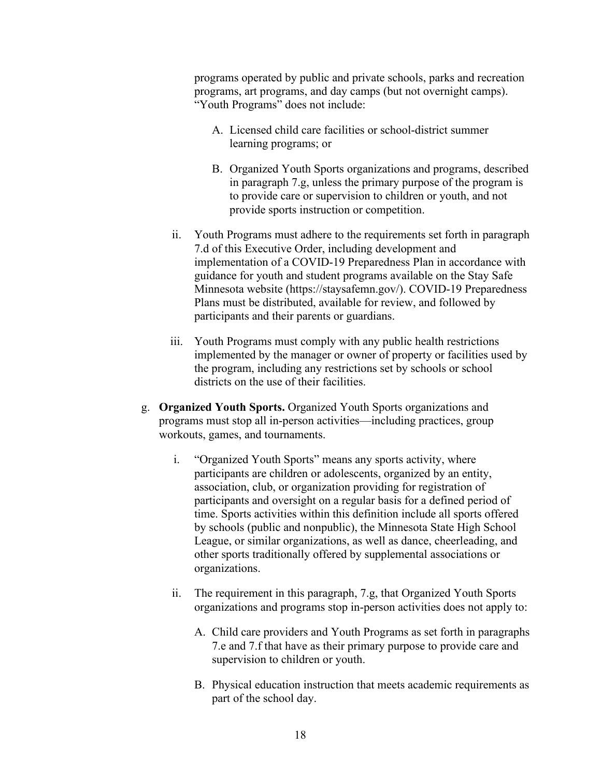programs operated by public and private schools, parks and recreation programs, art programs, and day camps (but not overnight camps). "Youth Programs" does not include:

- A. Licensed child care facilities or school-district summer learning programs; or
- B. Organized Youth Sports organizations and programs, described in paragraph 7.g, unless the primary purpose of the program is to provide care or supervision to children or youth, and not provide sports instruction or competition.
- ii. Youth Programs must adhere to the requirements set forth in paragraph 7.d of this Executive Order, including development and implementation of a COVID-19 Preparedness Plan in accordance with guidance for youth and student programs available on the Stay Safe Minnesota website (https://staysafemn.gov/). COVID-19 Preparedness Plans must be distributed, available for review, and followed by participants and their parents or guardians.
- iii. Youth Programs must comply with any public health restrictions implemented by the manager or owner of property or facilities used by the program, including any restrictions set by schools or school districts on the use of their facilities.
- g. **Organized Youth Sports.** Organized Youth Sports organizations and programs must stop all in-person activities—including practices, group workouts, games, and tournaments.
	- i. "Organized Youth Sports" means any sports activity, where participants are children or adolescents, organized by an entity, association, club, or organization providing for registration of participants and oversight on a regular basis for a defined period of time. Sports activities within this definition include all sports offered by schools (public and nonpublic), the Minnesota State High School League, or similar organizations, as well as dance, cheerleading, and other sports traditionally offered by supplemental associations or organizations.
	- ii. The requirement in this paragraph, 7.g, that Organized Youth Sports organizations and programs stop in-person activities does not apply to:
		- A. Child care providers and Youth Programs as set forth in paragraphs 7.e and 7.f that have as their primary purpose to provide care and supervision to children or youth.
		- B. Physical education instruction that meets academic requirements as part of the school day.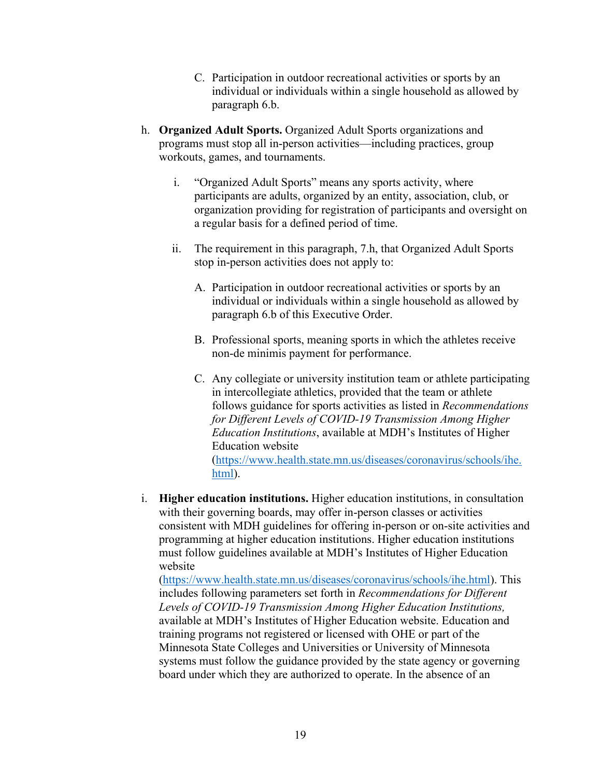- C. Participation in outdoor recreational activities or sports by an individual or individuals within a single household as allowed by paragraph 6.b.
- h. **Organized Adult Sports.** Organized Adult Sports organizations and programs must stop all in-person activities—including practices, group workouts, games, and tournaments.
	- i. "Organized Adult Sports" means any sports activity, where participants are adults, organized by an entity, association, club, or organization providing for registration of participants and oversight on a regular basis for a defined period of time.
	- ii. The requirement in this paragraph, 7.h, that Organized Adult Sports stop in-person activities does not apply to:
		- A. Participation in outdoor recreational activities or sports by an individual or individuals within a single household as allowed by paragraph 6.b of this Executive Order.
		- B. Professional sports, meaning sports in which the athletes receive non-de minimis payment for performance.
		- C. Any collegiate or university institution team or athlete participating in intercollegiate athletics, provided that the team or athlete follows guidance for sports activities as listed in *Recommendations for Different Levels of COVID-19 Transmission Among Higher Education Institutions*, available at MDH's Institutes of Higher Education website [\(https://www.health.state.mn.us/diseases/coronavirus/schools/ihe.](https://www.health.state.mn.us/diseases/coronavirus/schools/ihe.%20html)  [html\)](https://www.health.state.mn.us/diseases/coronavirus/schools/ihe.%20html).
- i. **Higher education institutions.** Higher education institutions, in consultation with their governing boards, may offer in-person classes or activities consistent with MDH guidelines for offering in-person or on-site activities and programming at higher education institutions. Higher education institutions must follow guidelines available at MDH's Institutes of Higher Education website

[\(https://www.health.state.mn.us/diseases/coronavirus/schools/ihe.html\)](https://www.health.state.mn.us/diseases/coronavirus/schools/ihe.html). This includes following parameters set forth in *Recommendations for Different Levels of COVID-19 Transmission Among Higher Education Institutions,* available at MDH's Institutes of Higher Education website. Education and training programs not registered or licensed with OHE or part of the Minnesota State Colleges and Universities or University of Minnesota systems must follow the guidance provided by the state agency or governing board under which they are authorized to operate. In the absence of an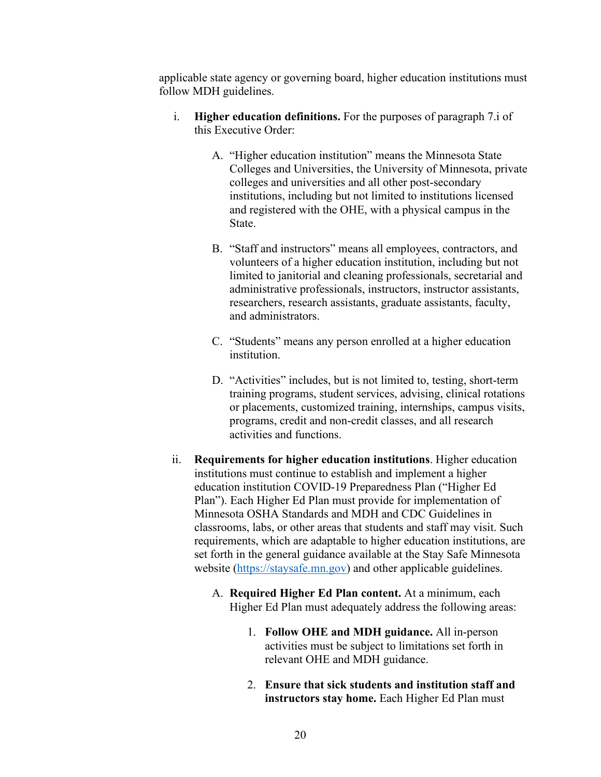applicable state agency or governing board, higher education institutions must follow MDH guidelines.

- i. **Higher education definitions.** For the purposes of paragraph 7.i of this Executive Order:
	- A. "Higher education institution" means the Minnesota State Colleges and Universities, the University of Minnesota, private colleges and universities and all other post-secondary institutions, including but not limited to institutions licensed and registered with the OHE, with a physical campus in the State.
	- B. "Staff and instructors" means all employees, contractors, and volunteers of a higher education institution, including but not limited to janitorial and cleaning professionals, secretarial and administrative professionals, instructors, instructor assistants, researchers, research assistants, graduate assistants, faculty, and administrators.
	- C. "Students" means any person enrolled at a higher education institution.
	- D. "Activities" includes, but is not limited to, testing, short-term training programs, student services, advising, clinical rotations or placements, customized training, internships, campus visits, programs, credit and non-credit classes, and all research activities and functions.
- ii. **Requirements for higher education institutions**. Higher education institutions must continue to establish and implement a higher education institution COVID-19 Preparedness Plan ("Higher Ed Plan"). Each Higher Ed Plan must provide for implementation of Minnesota OSHA Standards and MDH and CDC Guidelines in classrooms, labs, or other areas that students and staff may visit. Such requirements, which are adaptable to higher education institutions, are set forth in the general guidance available at the Stay Safe Minnesota website [\(https://staysafe.mn.gov\)](https://staysafe.mn.gov/) and other applicable guidelines.
	- A. **Required Higher Ed Plan content.** At a minimum, each Higher Ed Plan must adequately address the following areas:
		- 1. **Follow OHE and MDH guidance.** All in-person activities must be subject to limitations set forth in relevant OHE and MDH guidance.
		- 2. **Ensure that sick students and institution staff and instructors stay home.** Each Higher Ed Plan must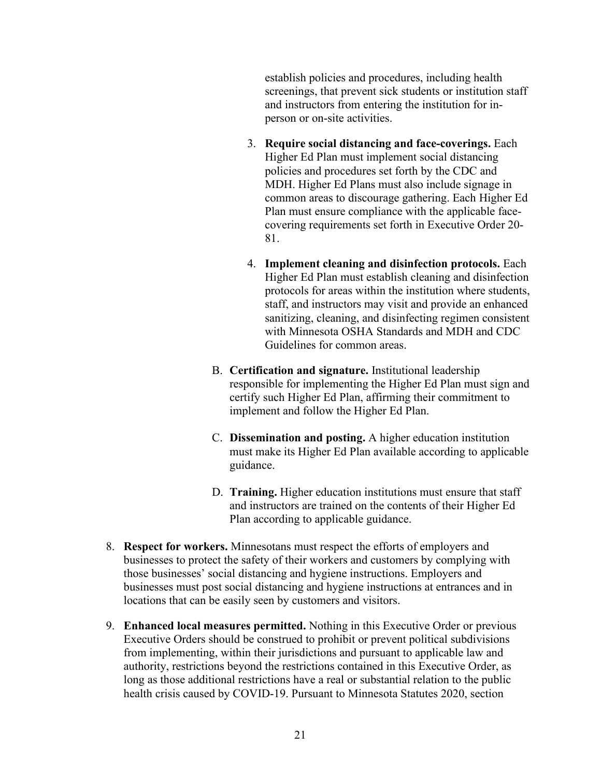establish policies and procedures, including health screenings, that prevent sick students or institution staff and instructors from entering the institution for inperson or on-site activities.

- 3. **Require social distancing and face-coverings.** Each Higher Ed Plan must implement social distancing policies and procedures set forth by the CDC and MDH. Higher Ed Plans must also include signage in common areas to discourage gathering. Each Higher Ed Plan must ensure compliance with the applicable facecovering requirements set forth in Executive Order 20- 81.
- 4. **Implement cleaning and disinfection protocols.** Each Higher Ed Plan must establish cleaning and disinfection protocols for areas within the institution where students, staff, and instructors may visit and provide an enhanced sanitizing, cleaning, and disinfecting regimen consistent with Minnesota OSHA Standards and MDH and CDC Guidelines for common areas.
- B. **Certification and signature.** Institutional leadership responsible for implementing the Higher Ed Plan must sign and certify such Higher Ed Plan, affirming their commitment to implement and follow the Higher Ed Plan.
- C. **Dissemination and posting.** A higher education institution must make its Higher Ed Plan available according to applicable guidance.
- D. **Training.** Higher education institutions must ensure that staff and instructors are trained on the contents of their Higher Ed Plan according to applicable guidance.
- 8. **Respect for workers.** Minnesotans must respect the efforts of employers and businesses to protect the safety of their workers and customers by complying with those businesses' social distancing and hygiene instructions. Employers and businesses must post social distancing and hygiene instructions at entrances and in locations that can be easily seen by customers and visitors.
- 9. **Enhanced local measures permitted.** Nothing in this Executive Order or previous Executive Orders should be construed to prohibit or prevent political subdivisions from implementing, within their jurisdictions and pursuant to applicable law and authority, restrictions beyond the restrictions contained in this Executive Order, as long as those additional restrictions have a real or substantial relation to the public health crisis caused by COVID-19. Pursuant to Minnesota Statutes 2020, section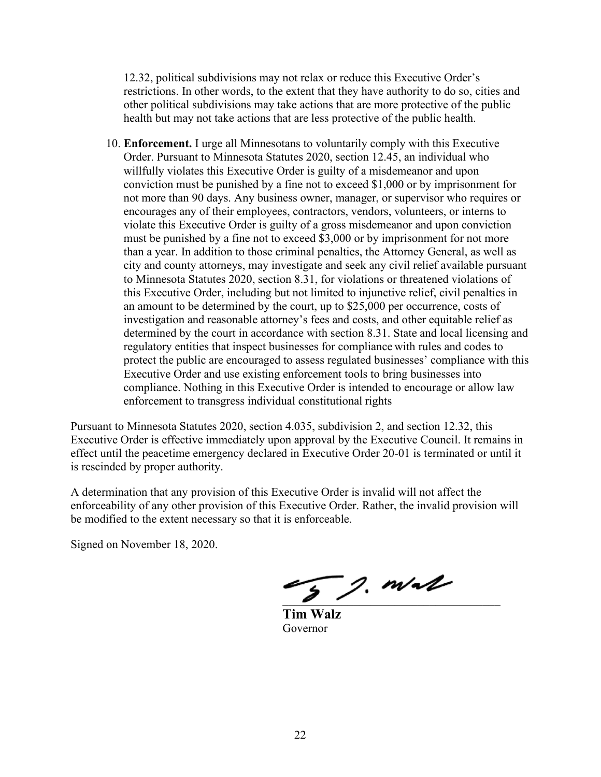12.32, political subdivisions may not relax or reduce this Executive Order's restrictions. In other words, to the extent that they have authority to do so, cities and other political subdivisions may take actions that are more protective of the public health but may not take actions that are less protective of the public health.

10. **Enforcement.** I urge all Minnesotans to voluntarily comply with this Executive Order. Pursuant to Minnesota Statutes 2020, section 12.45, an individual who willfully violates this Executive Order is guilty of a misdemeanor and upon conviction must be punished by a fine not to exceed \$1,000 or by imprisonment for not more than 90 days. Any business owner, manager, or supervisor who requires or encourages any of their employees, contractors, vendors, volunteers, or interns to violate this Executive Order is guilty of a gross misdemeanor and upon conviction must be punished by a fine not to exceed \$3,000 or by imprisonment for not more than a year. In addition to those criminal penalties, the Attorney General, as well as city and county attorneys, may investigate and seek any civil relief available pursuant to Minnesota Statutes 2020, section 8.31, for violations or threatened violations of this Executive Order, including but not limited to injunctive relief, civil penalties in an amount to be determined by the court, up to \$25,000 per occurrence, costs of investigation and reasonable attorney's fees and costs, and other equitable relief as determined by the court in accordance with section 8.31. State and local licensing and regulatory entities that inspect businesses for compliance with rules and codes to protect the public are encouraged to assess regulated businesses' compliance with this Executive Order and use existing enforcement tools to bring businesses into compliance. Nothing in this Executive Order is intended to encourage or allow law enforcement to transgress individual constitutional rights

Pursuant to Minnesota Statutes 2020, section 4.035, subdivision 2, and section 12.32, this Executive Order is effective immediately upon approval by the Executive Council. It remains in effect until the peacetime emergency declared in Executive Order 20-01 is terminated or until it is rescinded by proper authority.

A determination that any provision of this Executive Order is invalid will not affect the enforceability of any other provision of this Executive Order. Rather, the invalid provision will be modified to the extent necessary so that it is enforceable.

Signed on November 18, 2020.

 $\mathcal{F}$  g. mall

 **Tim Walz** Governor